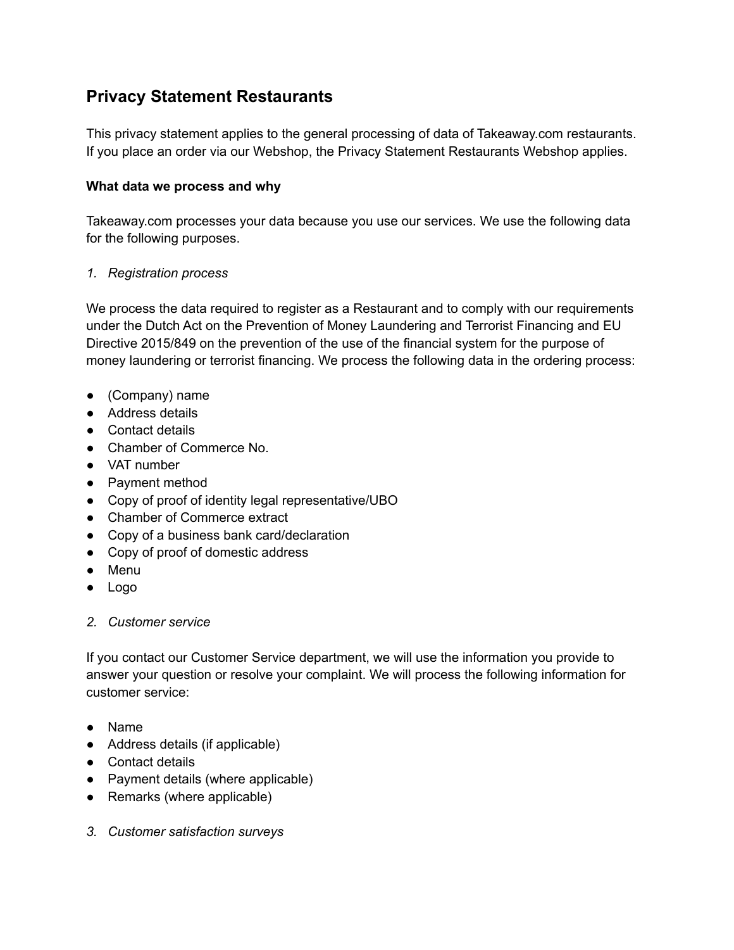# **Privacy Statement Restaurants**

This privacy statement applies to the general processing of data of Takeaway.com restaurants. If you place an order via our Webshop, the Privacy Statement Restaurants Webshop applies.

#### **What data we process and why**

Takeaway.com processes your data because you use our services. We use the following data for the following purposes.

### *1. Registration process*

We process the data required to register as a Restaurant and to comply with our requirements under the Dutch Act on the Prevention of Money Laundering and Terrorist Financing and EU Directive 2015/849 on the prevention of the use of the financial system for the purpose of money laundering or terrorist financing. We process the following data in the ordering process:

- (Company) name
- Address details
- Contact details
- Chamber of Commerce No.
- VAT number
- Payment method
- Copy of proof of identity legal representative/UBO
- Chamber of Commerce extract
- Copy of a business bank card/declaration
- Copy of proof of domestic address
- Menu
- Logo

# *2. Customer service*

If you contact our Customer Service department, we will use the information you provide to answer your question or resolve your complaint. We will process the following information for customer service:

- Name
- Address details (if applicable)
- Contact details
- Payment details (where applicable)
- Remarks (where applicable)
- *3. Customer satisfaction surveys*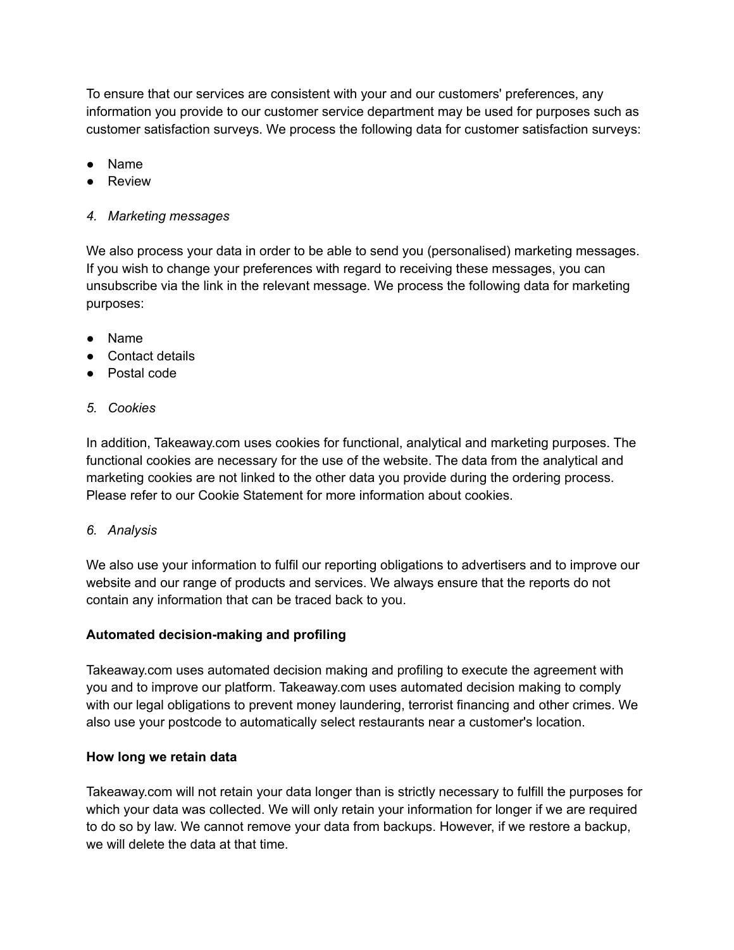To ensure that our services are consistent with your and our customers' preferences, any information you provide to our customer service department may be used for purposes such as customer satisfaction surveys. We process the following data for customer satisfaction surveys:

- **Name**
- Review

# *4. Marketing messages*

We also process your data in order to be able to send you (personalised) marketing messages. If you wish to change your preferences with regard to receiving these messages, you can unsubscribe via the link in the relevant message. We process the following data for marketing purposes:

- Name
- Contact details
- Postal code
- *5. Cookies*

In addition, Takeaway.com uses cookies for functional, analytical and marketing purposes. The functional cookies are necessary for the use of the website. The data from the analytical and marketing cookies are not linked to the other data you provide during the ordering process. Please refer to our Cookie Statement for more information about cookies.

# *6. Analysis*

We also use your information to fulfil our reporting obligations to advertisers and to improve our website and our range of products and services. We always ensure that the reports do not contain any information that can be traced back to you.

# **Automated decision-making and profiling**

Takeaway.com uses automated decision making and profiling to execute the agreement with you and to improve our platform. Takeaway.com uses automated decision making to comply with our legal obligations to prevent money laundering, terrorist financing and other crimes. We also use your postcode to automatically select restaurants near a customer's location.

# **How long we retain data**

Takeaway.com will not retain your data longer than is strictly necessary to fulfill the purposes for which your data was collected. We will only retain your information for longer if we are required to do so by law. We cannot remove your data from backups. However, if we restore a backup, we will delete the data at that time.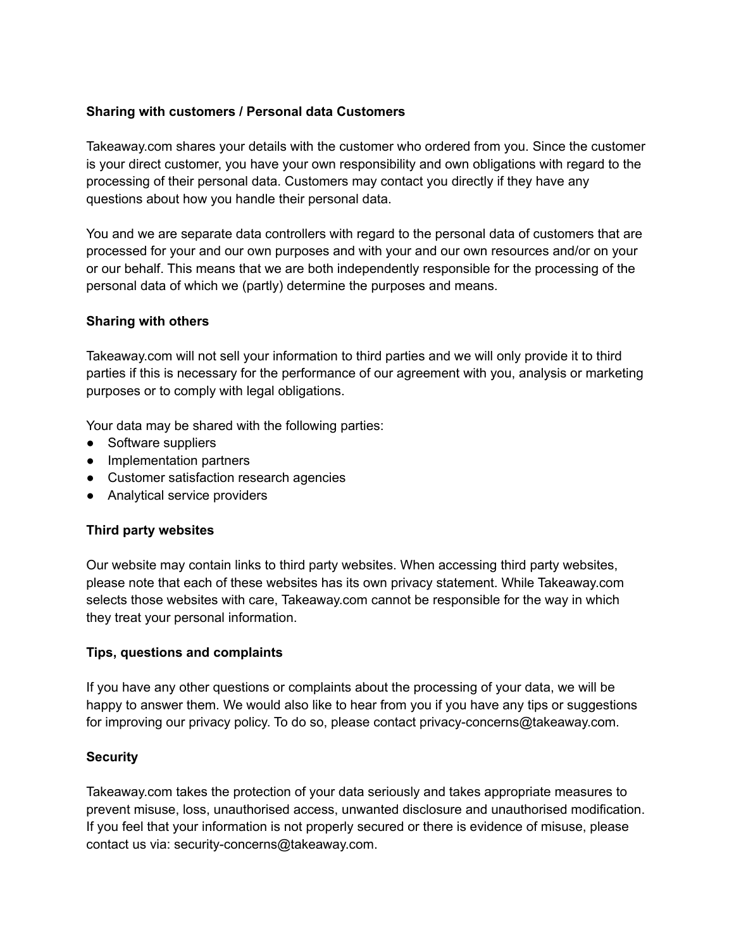## **Sharing with customers / Personal data Customers**

Takeaway.com shares your details with the customer who ordered from you. Since the customer is your direct customer, you have your own responsibility and own obligations with regard to the processing of their personal data. Customers may contact you directly if they have any questions about how you handle their personal data.

You and we are separate data controllers with regard to the personal data of customers that are processed for your and our own purposes and with your and our own resources and/or on your or our behalf. This means that we are both independently responsible for the processing of the personal data of which we (partly) determine the purposes and means.

#### **Sharing with others**

Takeaway.com will not sell your information to third parties and we will only provide it to third parties if this is necessary for the performance of our agreement with you, analysis or marketing purposes or to comply with legal obligations.

Your data may be shared with the following parties:

- Software suppliers
- Implementation partners
- Customer satisfaction research agencies
- Analytical service providers

#### **Third party websites**

Our website may contain links to third party websites. When accessing third party websites, please note that each of these websites has its own privacy statement. While Takeaway.com selects those websites with care, Takeaway.com cannot be responsible for the way in which they treat your personal information.

#### **Tips, questions and complaints**

If you have any other questions or complaints about the processing of your data, we will be happy to answer them. We would also like to hear from you if you have any tips or suggestions for improving our privacy policy. To do so, please contact privacy-concerns@takeaway.com.

#### **Security**

Takeaway.com takes the protection of your data seriously and takes appropriate measures to prevent misuse, loss, unauthorised access, unwanted disclosure and unauthorised modification. If you feel that your information is not properly secured or there is evidence of misuse, please contact us via: security-concerns@takeaway.com.